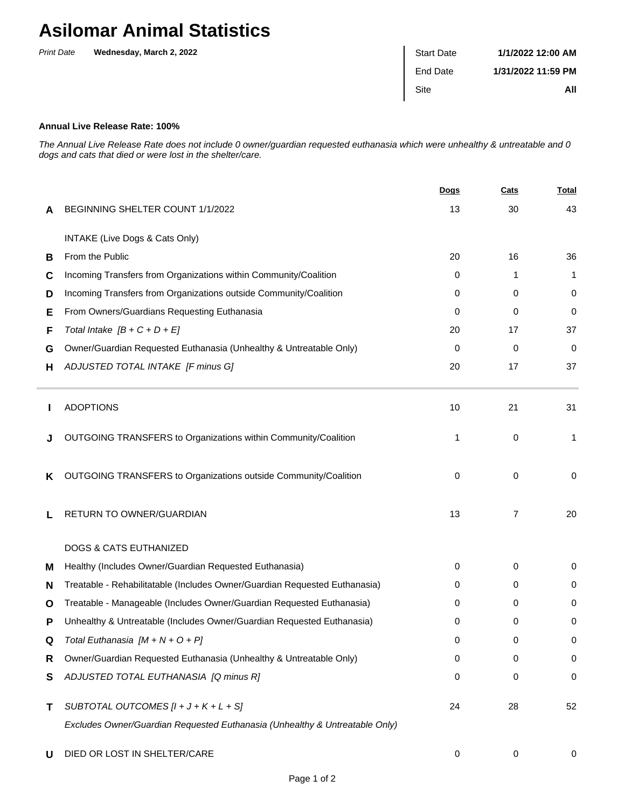## **Asilomar Animal Statistics**

| <b>Print Date</b> | Wednesday, March 2, 2022 | <b>Start Date</b> | 1/1/2022 12:00 AM  |
|-------------------|--------------------------|-------------------|--------------------|
|                   |                          | End Date          | 1/31/2022 11:59 PM |
|                   |                          | <b>Site</b>       | All                |
|                   |                          |                   |                    |

## **Annual Live Release Rate: 100%**

The Annual Live Release Rate does not include 0 owner/guardian requested euthanasia which were unhealthy & untreatable and 0 dogs and cats that died or were lost in the shelter/care.

|   |                                                                             | Dogs | Cats | <b>Total</b> |
|---|-----------------------------------------------------------------------------|------|------|--------------|
| A | BEGINNING SHELTER COUNT 1/1/2022                                            | 13   | 30   | 43           |
|   | INTAKE (Live Dogs & Cats Only)                                              |      |      |              |
| В | From the Public                                                             | 20   | 16   | 36           |
| C | Incoming Transfers from Organizations within Community/Coalition            | 0    | 1    | 1            |
| D | Incoming Transfers from Organizations outside Community/Coalition           | 0    | 0    | 0            |
| Е | From Owners/Guardians Requesting Euthanasia                                 | 0    | 0    | 0            |
| F | Total Intake $[B + C + D + E]$                                              | 20   | 17   | 37           |
| G | Owner/Guardian Requested Euthanasia (Unhealthy & Untreatable Only)          | 0    | 0    | $\mathbf 0$  |
| н | ADJUSTED TOTAL INTAKE [F minus G]                                           | 20   | 17   | 37           |
|   | <b>ADOPTIONS</b>                                                            | 10   | 21   | 31           |
|   | OUTGOING TRANSFERS to Organizations within Community/Coalition              | 1    | 0    | 1            |
| K | OUTGOING TRANSFERS to Organizations outside Community/Coalition             | 0    | 0    | 0            |
| L | RETURN TO OWNER/GUARDIAN                                                    | 13   | 7    | 20           |
|   | <b>DOGS &amp; CATS EUTHANIZED</b>                                           |      |      |              |
| м | Healthy (Includes Owner/Guardian Requested Euthanasia)                      | 0    | 0    | 0            |
| N | Treatable - Rehabilitatable (Includes Owner/Guardian Requested Euthanasia)  | 0    | 0    | 0            |
| O | Treatable - Manageable (Includes Owner/Guardian Requested Euthanasia)       | 0    | 0    | 0            |
| P | Unhealthy & Untreatable (Includes Owner/Guardian Requested Euthanasia)      | 0    | 0    | 0            |
| Q | Total Euthanasia $[M + N + O + P]$                                          | 0    | 0    | 0            |
| R | Owner/Guardian Requested Euthanasia (Unhealthy & Untreatable Only)          | 0    | 0    | $\mathbf 0$  |
| S | ADJUSTED TOTAL EUTHANASIA [Q minus R]                                       | 0    | 0    | $\mathbf 0$  |
| Τ | SUBTOTAL OUTCOMES $[l + J + K + L + S]$                                     | 24   | 28   | 52           |
|   | Excludes Owner/Guardian Requested Euthanasia (Unhealthy & Untreatable Only) |      |      |              |
| U | DIED OR LOST IN SHELTER/CARE                                                | 0    | 0    | 0            |